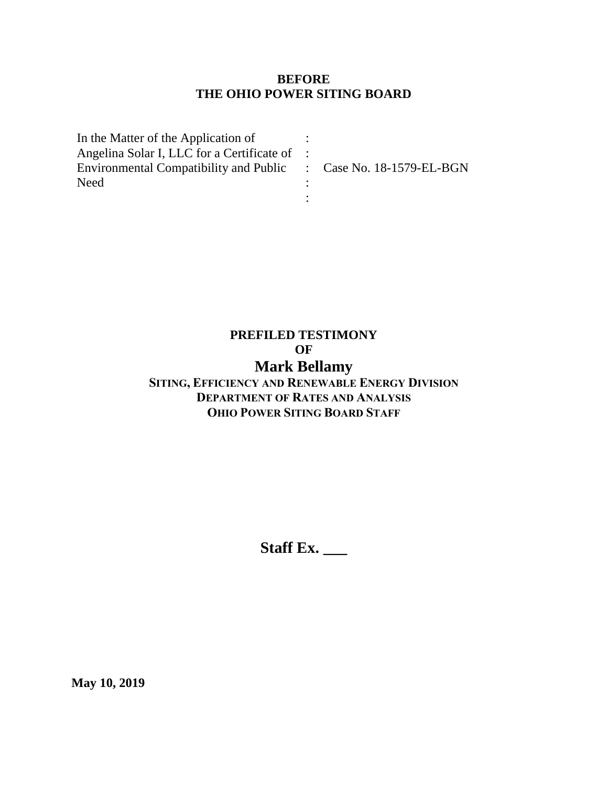### **BEFORE THE OHIO POWER SITING BOARD**

| In the Matter of the Application of                              |  |
|------------------------------------------------------------------|--|
| Angelina Solar I, LLC for a Certificate of :                     |  |
| Environmental Compatibility and Public : Case No. 18-1579-EL-BGN |  |
| <b>Need</b>                                                      |  |
|                                                                  |  |

# **PREFILED TESTIMONY OF Mark Bellamy**

## **SITING, EFFICIENCY AND RENEWABLE ENERGY DIVISION DEPARTMENT OF RATES AND ANALYSIS OHIO POWER SITING BOARD STAFF**

**Staff Ex. \_\_\_**

**May 10, 2019**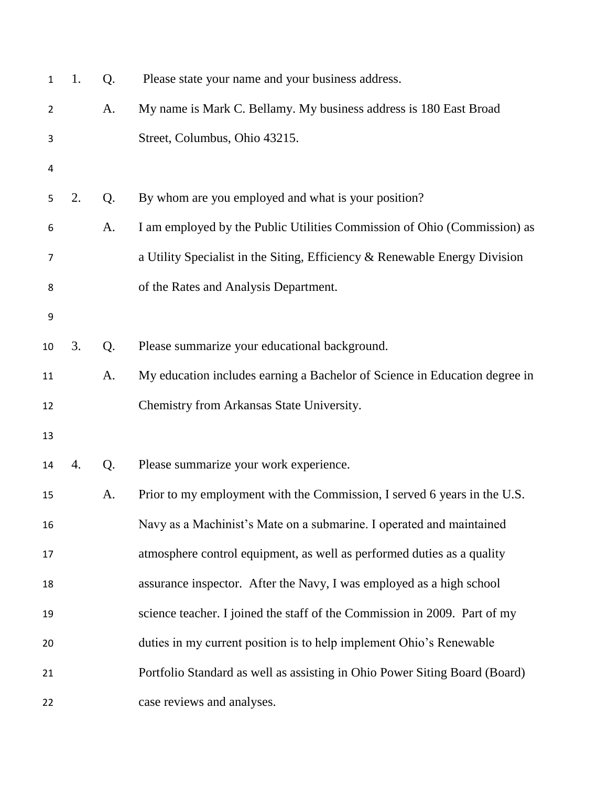| $\mathbf{1}$   | 1. | Q. | Please state your name and your business address.                          |
|----------------|----|----|----------------------------------------------------------------------------|
| $\overline{2}$ |    | A. | My name is Mark C. Bellamy. My business address is 180 East Broad          |
| 3              |    |    | Street, Columbus, Ohio 43215.                                              |
| 4              |    |    |                                                                            |
| 5              | 2. | Q. | By whom are you employed and what is your position?                        |
| 6              |    | A. | I am employed by the Public Utilities Commission of Ohio (Commission) as   |
| 7              |    |    | a Utility Specialist in the Siting, Efficiency & Renewable Energy Division |
| 8              |    |    | of the Rates and Analysis Department.                                      |
| 9              |    |    |                                                                            |
| 10             | 3. | Q. | Please summarize your educational background.                              |
| 11             |    | A. | My education includes earning a Bachelor of Science in Education degree in |
| 12             |    |    | Chemistry from Arkansas State University.                                  |
| 13             |    |    |                                                                            |
| 14             | 4. | Q. | Please summarize your work experience.                                     |
| 15             |    | A. | Prior to my employment with the Commission, I served 6 years in the U.S.   |
| 16             |    |    | Navy as a Machinist's Mate on a submarine. I operated and maintained       |
| 17             |    |    | atmosphere control equipment, as well as performed duties as a quality     |
| 18             |    |    | assurance inspector. After the Navy, I was employed as a high school       |
| 19             |    |    | science teacher. I joined the staff of the Commission in 2009. Part of my  |
| 20             |    |    | duties in my current position is to help implement Ohio's Renewable        |
| 21             |    |    | Portfolio Standard as well as assisting in Ohio Power Siting Board (Board) |
| 22             |    |    | case reviews and analyses.                                                 |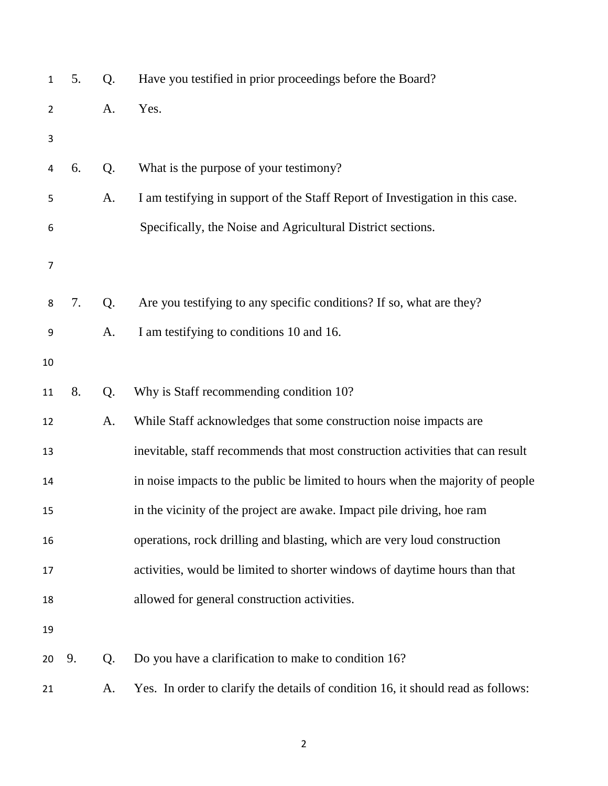| $\mathbf{1}$   | 5. | Q. | Have you testified in prior proceedings before the Board?                        |
|----------------|----|----|----------------------------------------------------------------------------------|
| $\overline{2}$ |    | A. | Yes.                                                                             |
| 3              |    |    |                                                                                  |
| 4              | 6. | Q. | What is the purpose of your testimony?                                           |
| 5              |    | A. | I am testifying in support of the Staff Report of Investigation in this case.    |
| 6              |    |    | Specifically, the Noise and Agricultural District sections.                      |
| 7              |    |    |                                                                                  |
| 8              | 7. | Q. | Are you testifying to any specific conditions? If so, what are they?             |
| 9              |    | A. | I am testifying to conditions 10 and 16.                                         |
| 10             |    |    |                                                                                  |
| 11             | 8. | Q. | Why is Staff recommending condition 10?                                          |
| 12             |    | A. | While Staff acknowledges that some construction noise impacts are                |
| 13             |    |    | inevitable, staff recommends that most construction activities that can result   |
| 14             |    |    | in noise impacts to the public be limited to hours when the majority of people   |
| 15             |    |    | in the vicinity of the project are awake. Impact pile driving, hoe ram           |
| 16             |    |    | operations, rock drilling and blasting, which are very loud construction         |
| 17             |    |    | activities, would be limited to shorter windows of daytime hours than that       |
| 18             |    |    | allowed for general construction activities.                                     |
| 19             |    |    |                                                                                  |
| 20             | 9. | Q. | Do you have a clarification to make to condition 16?                             |
| 21             |    | A. | Yes. In order to clarify the details of condition 16, it should read as follows: |
|                |    |    |                                                                                  |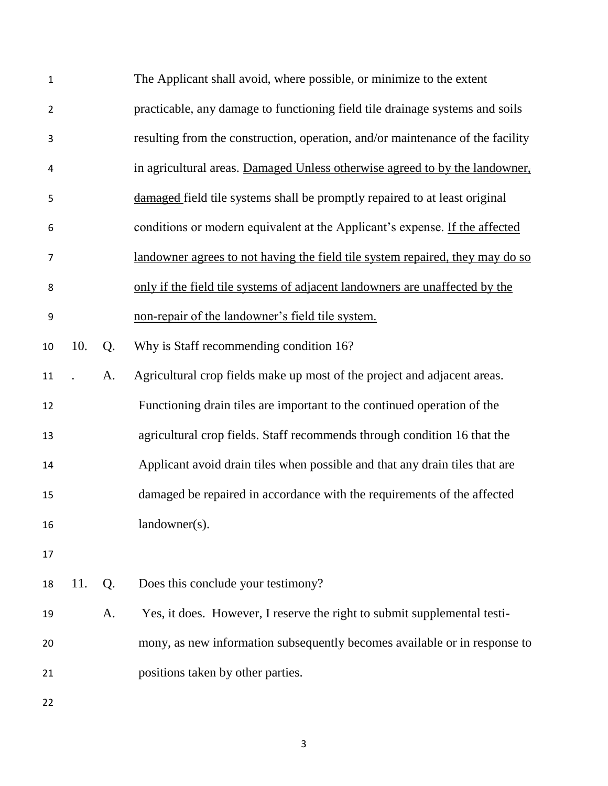| 1              |     |    | The Applicant shall avoid, where possible, or minimize to the extent           |
|----------------|-----|----|--------------------------------------------------------------------------------|
| $\overline{2}$ |     |    | practicable, any damage to functioning field tile drainage systems and soils   |
| 3              |     |    | resulting from the construction, operation, and/or maintenance of the facility |
| 4              |     |    | in agricultural areas. Damaged Unless otherwise agreed to by the landowner,    |
| 5              |     |    | damaged field tile systems shall be promptly repaired to at least original     |
| 6              |     |    | conditions or modern equivalent at the Applicant's expense. If the affected    |
| $\overline{7}$ |     |    | landowner agrees to not having the field tile system repaired, they may do so  |
| 8              |     |    | only if the field tile systems of adjacent landowners are unaffected by the    |
| 9              |     |    | non-repair of the landowner's field tile system.                               |
| 10             | 10. | Q. | Why is Staff recommending condition 16?                                        |
| 11             |     | A. | Agricultural crop fields make up most of the project and adjacent areas.       |
| 12             |     |    | Functioning drain tiles are important to the continued operation of the        |
| 13             |     |    | agricultural crop fields. Staff recommends through condition 16 that the       |
| 14             |     |    | Applicant avoid drain tiles when possible and that any drain tiles that are    |
| 15             |     |    | damaged be repaired in accordance with the requirements of the affected        |
| 16             |     |    | landowner(s).                                                                  |
| 17             |     |    |                                                                                |
| 18             | 11. | Q. | Does this conclude your testimony?                                             |
| 19             |     | A. | Yes, it does. However, I reserve the right to submit supplemental testi-       |
| 20             |     |    | mony, as new information subsequently becomes available or in response to      |
| 21             |     |    | positions taken by other parties.                                              |
| 22             |     |    |                                                                                |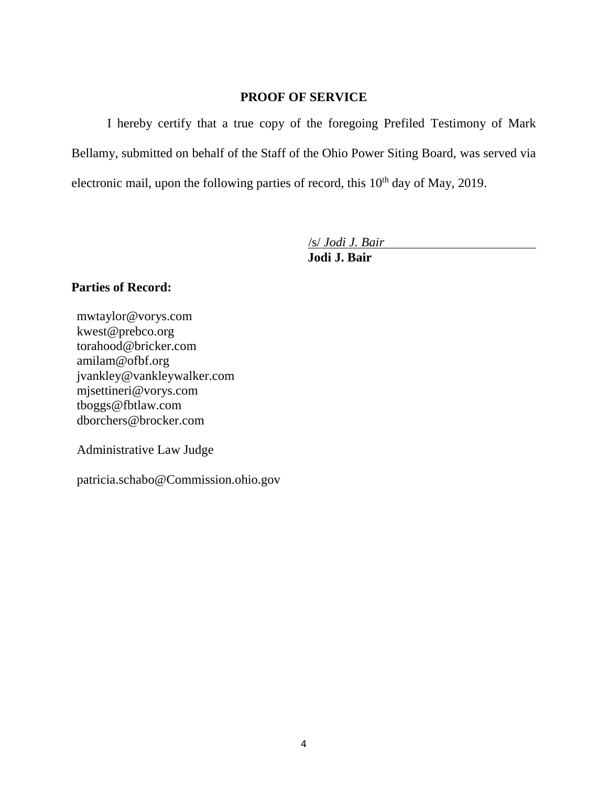### **PROOF OF SERVICE**

I hereby certify that a true copy of the foregoing Prefiled Testimony of Mark Bellamy, submitted on behalf of the Staff of the Ohio Power Siting Board, was served via electronic mail, upon the following parties of record, this  $10<sup>th</sup>$  day of May, 2019.

/s/ *Jodi J. Bair*

**Jodi J. Bair**

### **Parties of Record:**

mwtaylor@vorys.com [kwest@prebco.org](mailto:kwest@prebco.org) [torahood@bricker.com](mailto:torahood@bricker.com) [amilam@ofbf.org](mailto:amilam@ofbf.org) [jvankley@vankleywalker.com](mailto:jvankley@vankleywalker.com) [mjsettineri@vorys.com](mailto:mjsettineri@vorys.com) [tboggs@fbtlaw.com](mailto:tboggs@fbtlaw.com) [dborchers@brocker.com](mailto:dborchers@brocker.com)

Administrative Law Judge

patricia.schabo@Commission.ohio.gov